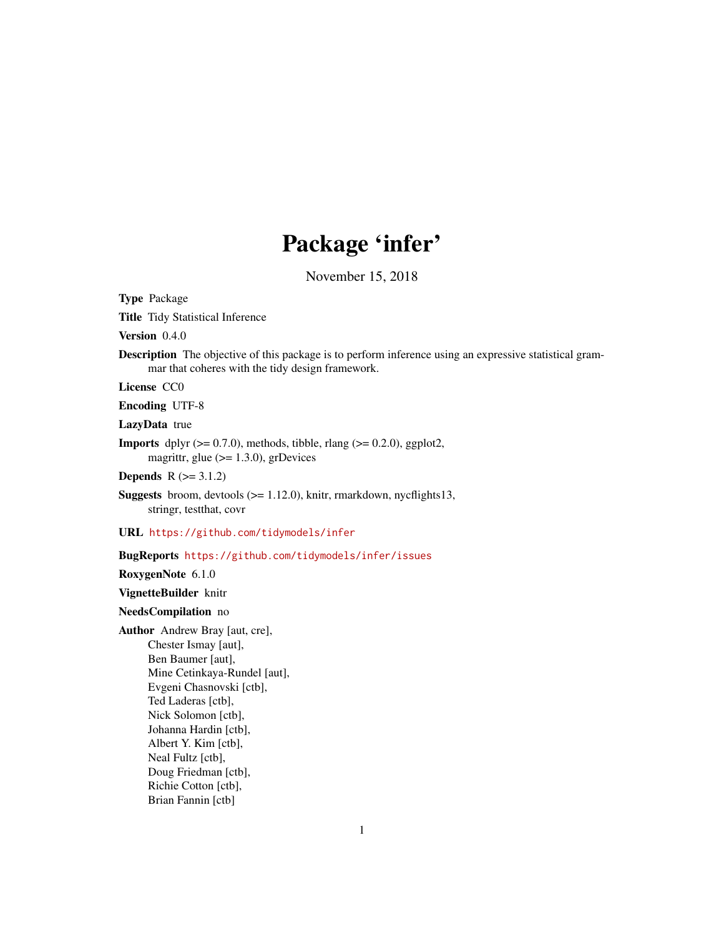# Package 'infer'

November 15, 2018

<span id="page-0-0"></span>Type Package

Title Tidy Statistical Inference

Version 0.4.0

Description The objective of this package is to perform inference using an expressive statistical grammar that coheres with the tidy design framework.

License CC0

Encoding UTF-8

LazyData true

**Imports** dplyr  $(>= 0.7.0)$ , methods, tibble, rlang  $(>= 0.2.0)$ , ggplot2, magrittr, glue  $(>= 1.3.0)$ , grDevices

**Depends**  $R (= 3.1.2)$ 

**Suggests** broom, devtools  $(>= 1.12.0)$ , knitr, rmarkdown, nycflights13, stringr, testthat, covr

URL <https://github.com/tidymodels/infer>

BugReports <https://github.com/tidymodels/infer/issues>

RoxygenNote 6.1.0

VignetteBuilder knitr

NeedsCompilation no

Author Andrew Bray [aut, cre], Chester Ismay [aut], Ben Baumer [aut], Mine Cetinkaya-Rundel [aut], Evgeni Chasnovski [ctb], Ted Laderas [ctb], Nick Solomon [ctb], Johanna Hardin [ctb], Albert Y. Kim [ctb], Neal Fultz [ctb], Doug Friedman [ctb], Richie Cotton [ctb], Brian Fannin [ctb]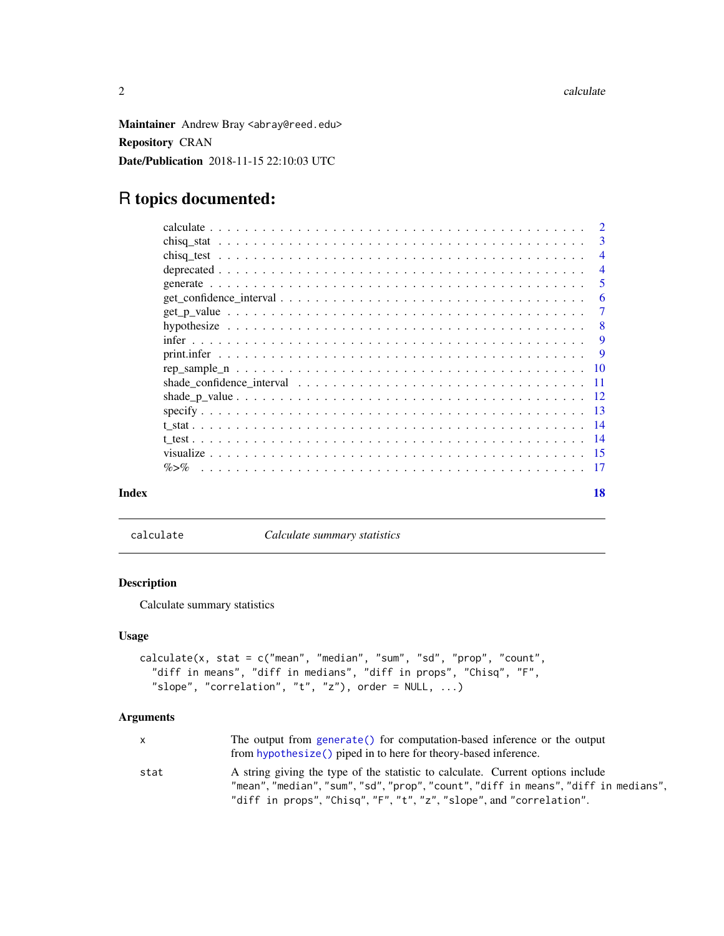<span id="page-1-0"></span>Maintainer Andrew Bray <abray@reed.edu> Repository CRAN Date/Publication 2018-11-15 22:10:03 UTC

# R topics documented:

|       | $\overline{2}$ |
|-------|----------------|
|       | -3             |
|       | $\overline{4}$ |
|       | $\overline{4}$ |
|       | 5              |
|       | 6              |
|       | 7              |
|       | -8             |
|       | 9              |
|       | -9             |
|       |                |
|       |                |
|       |                |
|       |                |
|       |                |
|       |                |
|       |                |
|       |                |
| Index | 18             |

<span id="page-1-1"></span>calculate *Calculate summary statistics*

# Description

Calculate summary statistics

#### Usage

```
calculate(x, stat = c("mean", "median", "sum", "sd", "prop", "count",
  "diff in means", "diff in medians", "diff in props", "Chisq", "F",
  "slope", "correlation", "t", "z"), order = NULL, ...)
```

| X.   | The output from generate() for computation-based inference or the output        |
|------|---------------------------------------------------------------------------------|
|      | from hypothesize() piped in to here for theory-based inference.                 |
| stat | A string giving the type of the statistic to calculate. Current options include |
|      | "mean","median","sum","sd","prop","count","diff in means","diff in medians",    |
|      | "diff in props", "Chisq", "F", "t", "z", "slope", and "correlation".            |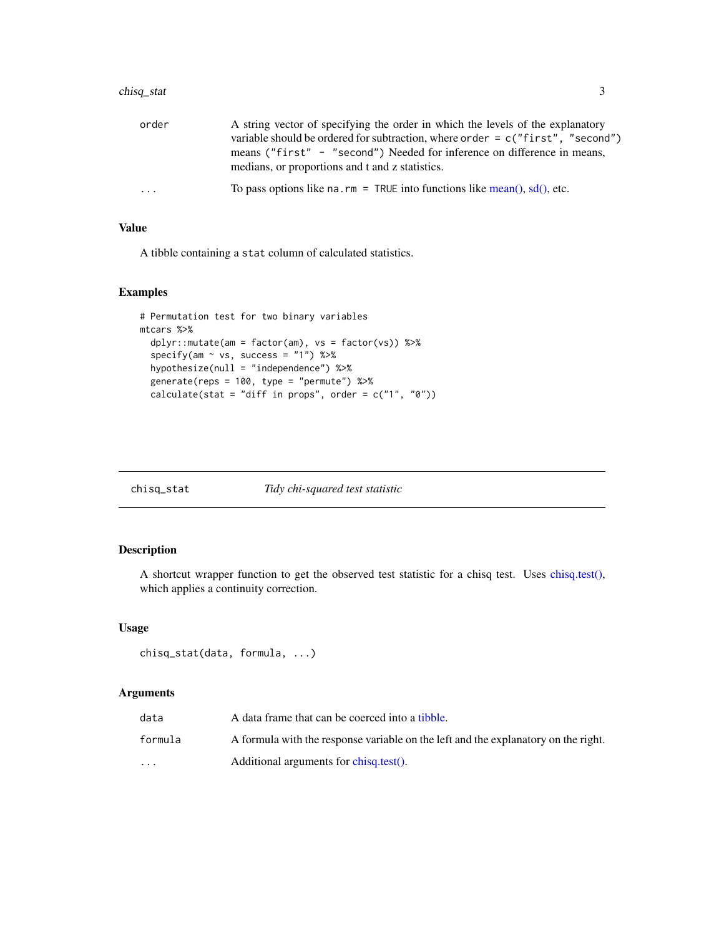#### <span id="page-2-0"></span>chisq\_stat 3

| order    | A string vector of specifying the order in which the levels of the explanatory<br>variable should be ordered for subtraction, where order = c("first", "second")<br>means ("first" - "second") Needed for inference on difference in means,<br>medians, or proportions and t and z statistics. |
|----------|------------------------------------------------------------------------------------------------------------------------------------------------------------------------------------------------------------------------------------------------------------------------------------------------|
| $\cdots$ | To pass options like na. $rm = TRUE$ into functions like mean(), sd(), etc.                                                                                                                                                                                                                    |

# Value

A tibble containing a stat column of calculated statistics.

# Examples

```
# Permutation test for two binary variables
mtcars %>%
 dplyr::mutate(am = factor(am), vs = factor(vs)) %>%
 specify(am ~ vs, success = "1") %hypothesize(null = "independence") %>%
 generate(reps = 100, type = "permute") %>%
 calculate(stat = "diff in props", order = c("1", "0"))
```
chisq\_stat *Tidy chi-squared test statistic*

# Description

A shortcut wrapper function to get the observed test statistic for a chisq test. Uses [chisq.test\(\),](#page-0-0) which applies a continuity correction.

# Usage

```
chisq_stat(data, formula, ...)
```

| data                    | A data frame that can be coerced into a tibble.                                    |
|-------------------------|------------------------------------------------------------------------------------|
| formula                 | A formula with the response variable on the left and the explanatory on the right. |
| $\cdot$ $\cdot$ $\cdot$ | Additional arguments for chisq.test().                                             |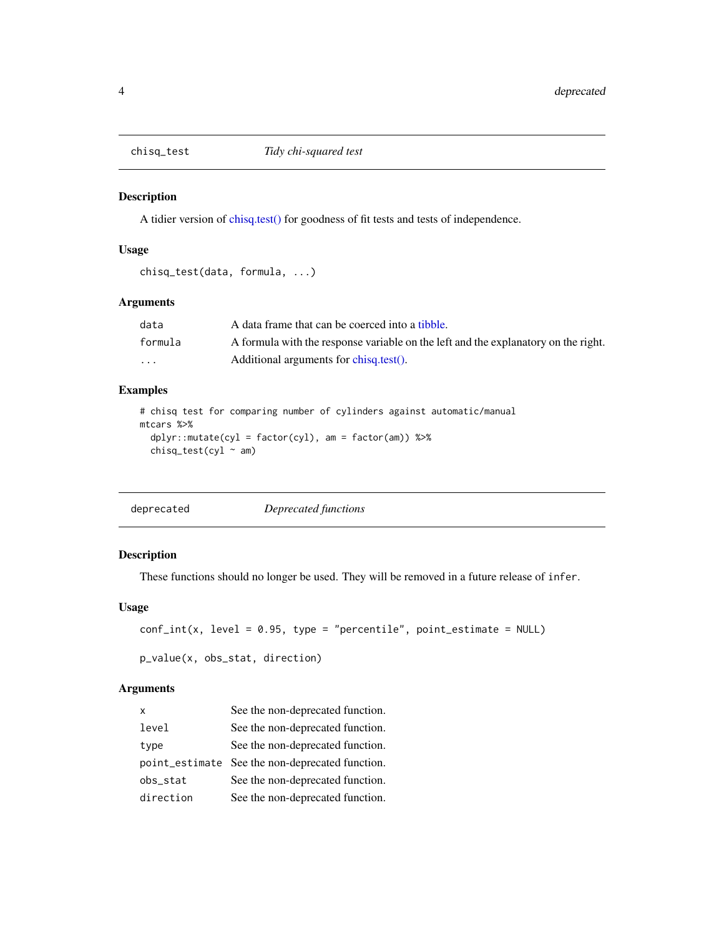<span id="page-3-0"></span>

#### Description

A tidier version of [chisq.test\(\)](#page-0-0) for goodness of fit tests and tests of independence.

#### Usage

chisq\_test(data, formula, ...)

#### Arguments

| data     | A data frame that can be coerced into a tibble.                                    |
|----------|------------------------------------------------------------------------------------|
| formula  | A formula with the response variable on the left and the explanatory on the right. |
| $\cdots$ | Additional arguments for chisq.test().                                             |

# Examples

```
# chisq test for comparing number of cylinders against automatic/manual
mtcars %>%
  dplyr::mutate(cyl = factor(cyl), am = factor(am)) %>%
  chisq_test(cyl \sim am)
```

|  | Deprecated functions | deprecated |
|--|----------------------|------------|
|--|----------------------|------------|

# Description

These functions should no longer be used. They will be removed in a future release of infer.

## Usage

```
conf\_int(x, level = 0.95, type = "percentile", point\_estimate = NULL)
```
p\_value(x, obs\_stat, direction)

| x         | See the non-deprecated function.                |
|-----------|-------------------------------------------------|
| level     | See the non-deprecated function.                |
| type      | See the non-deprecated function.                |
|           | point_estimate See the non-deprecated function. |
| obs_stat  | See the non-deprecated function.                |
| direction | See the non-deprecated function.                |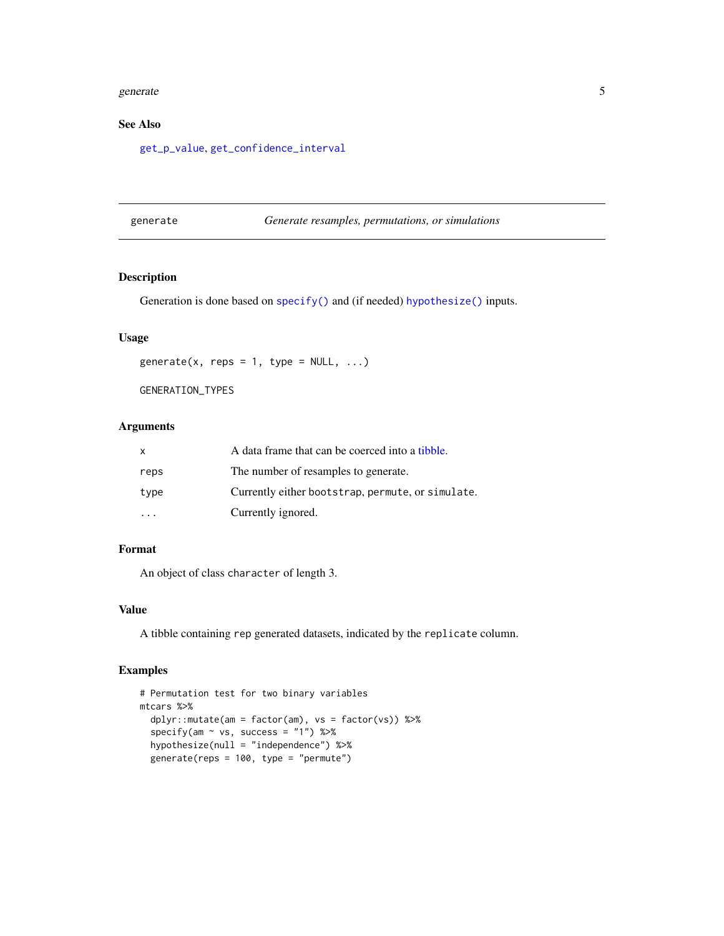#### <span id="page-4-0"></span>generate 5 and 5 and 5 and 5 and 5 and 5 and 5 and 5 and 5 and 5 and 5 and 5 and 5 and 5 and 5 and 5 and 5 and 5 and 5 and 5 and 5 and 5 and 5 and 5 and 5 and 5 and 5 and 5 and 5 and 5 and 5 and 5 and 5 and 5 and 5 and 5 a

# See Also

[get\\_p\\_value](#page-6-1), [get\\_confidence\\_interval](#page-5-1)

<span id="page-4-1"></span>

generate *Generate resamples, permutations, or simulations*

#### Description

Generation is done based on [specify\(\)](#page-12-1) and (if needed) [hypothesize\(\)](#page-7-1) inputs.

# Usage

```
generate(x, reps = 1, type = NULL, ...)
```
GENERATION\_TYPES

#### Arguments

| x    | A data frame that can be coerced into a tibble.   |
|------|---------------------------------------------------|
| reps | The number of resamples to generate.              |
| type | Currently either bootstrap, permute, or simulate. |
|      | Currently ignored.                                |

## Format

An object of class character of length 3.

#### Value

A tibble containing rep generated datasets, indicated by the replicate column.

```
# Permutation test for two binary variables
mtcars %>%
 dplyr::mutate(am = factor(am), vs = factor(vs)) %>%
 specify(am ~ vs, success = "1") %hypothesize(null = "independence") %>%
 generate(reps = 100, type = "permute")
```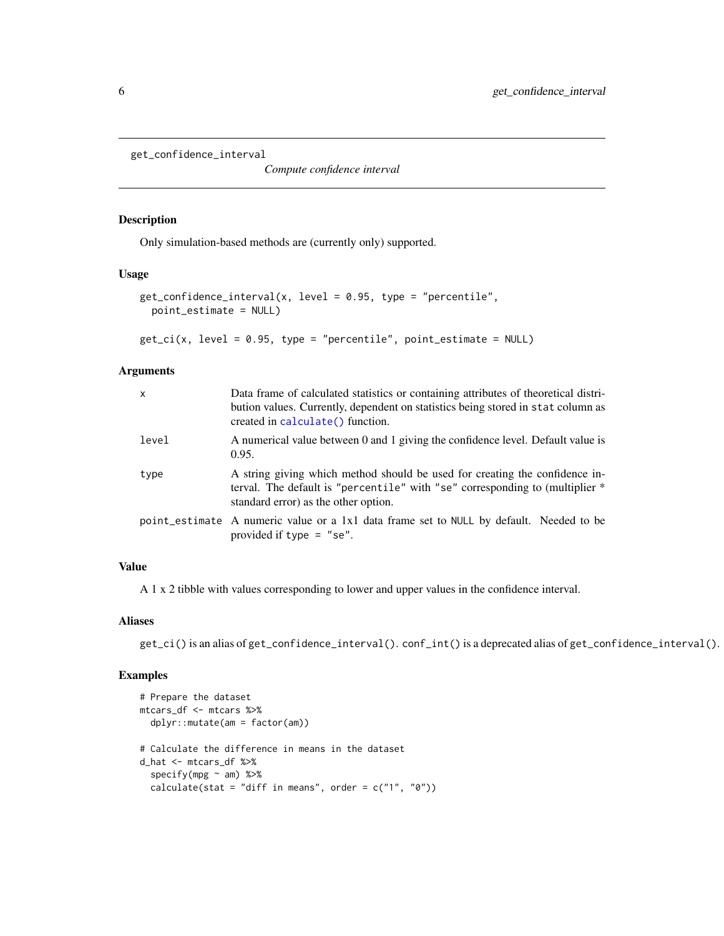```
get_confidence_interval
```
*Compute confidence interval*

#### Description

Only simulation-based methods are (currently only) supported.

#### Usage

```
get\_confidence\_interval(x, level = 0.95, type = "percentile",point_estimate = NULL)
```

```
get\_ci(x, level = 0.95, type = "percentile", point\_estimate = NULL)
```
# Arguments

| X     | Data frame of calculated statistics or containing attributes of theoretical distri-<br>bution values. Currently, dependent on statistics being stored in stat column as<br>created in calculate() function. |
|-------|-------------------------------------------------------------------------------------------------------------------------------------------------------------------------------------------------------------|
| level | A numerical value between 0 and 1 giving the confidence level. Default value is<br>0.95.                                                                                                                    |
| type  | A string giving which method should be used for creating the confidence in-<br>terval. The default is "percentile" with "se" corresponding to (multiplier *<br>standard error) as the other option.         |
|       | point_estimate A numeric value or a 1x1 data frame set to NULL by default. Needed to be<br>provided if $type = "se".$                                                                                       |

# Value

A 1 x 2 tibble with values corresponding to lower and upper values in the confidence interval.

#### Aliases

get\_ci() is an alias of get\_confidence\_interval(). conf\_int() is a deprecated alias of get\_confidence\_interval().

```
# Prepare the dataset
mtcars_df <- mtcars %>%
  dplyr::mutate(am = factor(am))
# Calculate the difference in means in the dataset
d_hat <- mtcars_df %>%
  specify(mpg \sim am) %>%
  calculate(stat = "diff in means", order = c("1", "0"))
```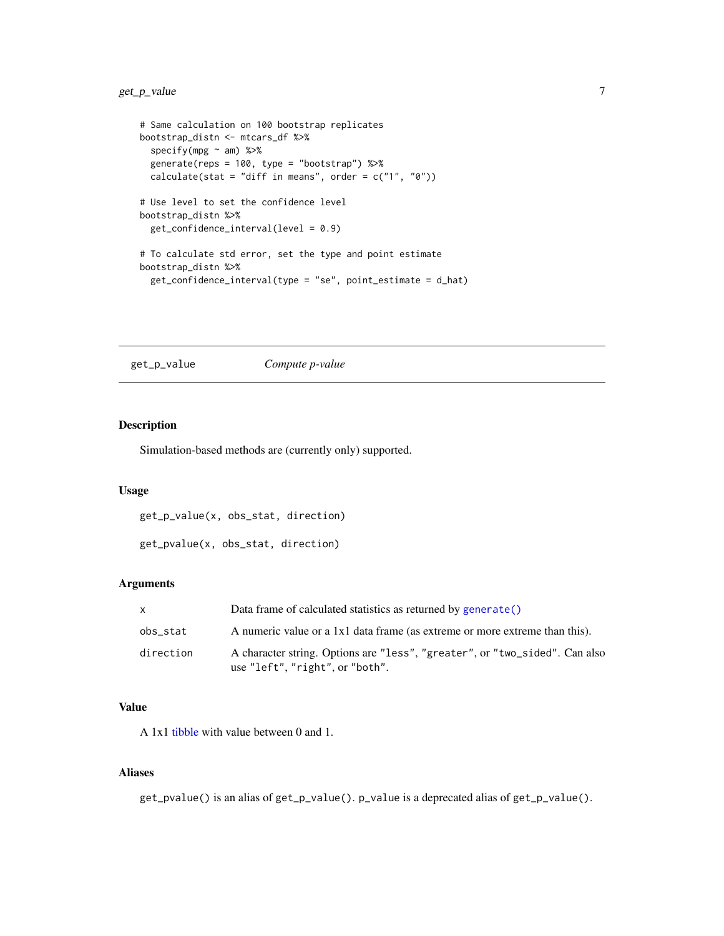# <span id="page-6-0"></span>get\_p\_value 7

```
# Same calculation on 100 bootstrap replicates
bootstrap_distn <- mtcars_df %>%
  specify(mpg \sim am) %>%
  generate(reps = 100, type = "bootstrap") %>%
  calculate(stat = "diff in means", order = c("1", "0"))
# Use level to set the confidence level
bootstrap_distn %>%
  get_confidence_interval(level = 0.9)
# To calculate std error, set the type and point estimate
bootstrap_distn %>%
  get_confidence_interval(type = "se", point_estimate = d_hat)
```
<span id="page-6-1"></span>get\_p\_value *Compute p-value*

## Description

Simulation-based methods are (currently only) supported.

#### Usage

get\_p\_value(x, obs\_stat, direction)

get\_pvalue(x, obs\_stat, direction)

#### Arguments

| X         | Data frame of calculated statistics as returned by generate()                                                  |
|-----------|----------------------------------------------------------------------------------------------------------------|
| obs stat  | A numeric value or a 1x1 data frame (as extreme or more extreme than this).                                    |
| direction | A character string. Options are "less", "greater", or "two_sided". Can also<br>use "left", "right", or "both". |

# Value

A 1x1 [tibble](#page-0-0) with value between 0 and 1.

# Aliases

get\_pvalue() is an alias of get\_p\_value(). p\_value is a deprecated alias of get\_p\_value().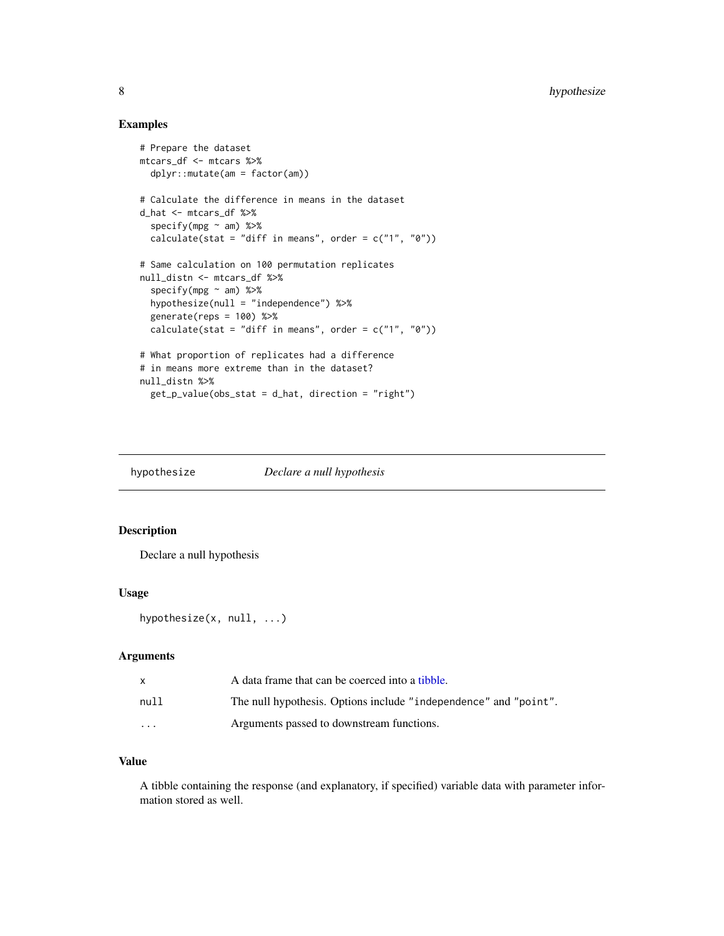# Examples

```
# Prepare the dataset
mtcars_df <- mtcars %>%
  dplyr::mutate(am = factor(am))
# Calculate the difference in means in the dataset
d_hat <- mtcars_df %>%
  specify(mpg ~ am) %>%
  calculate(stat = "diff in means", order = c("1", "0"))
# Same calculation on 100 permutation replicates
null_distn <- mtcars_df %>%
  specify(mpg \sim am) %>%
  hypothesize(null = "independence") %>%
  generate(reps = 100) %>%
  calculate(stat = "diff in means", order = c("1", "0"))
# What proportion of replicates had a difference
# in means more extreme than in the dataset?
null_distn %>%
  get_p_value(obs_stat = d_hat, direction = "right")
```
<span id="page-7-1"></span>hypothesize *Declare a null hypothesis*

#### Description

Declare a null hypothesis

## Usage

```
hypothesize(x, null, ...)
```
# Arguments

|          | A data frame that can be coerced into a tibble.                  |
|----------|------------------------------------------------------------------|
| null     | The null hypothesis. Options include "independence" and "point". |
| $\cdots$ | Arguments passed to downstream functions.                        |

#### Value

A tibble containing the response (and explanatory, if specified) variable data with parameter information stored as well.

<span id="page-7-0"></span>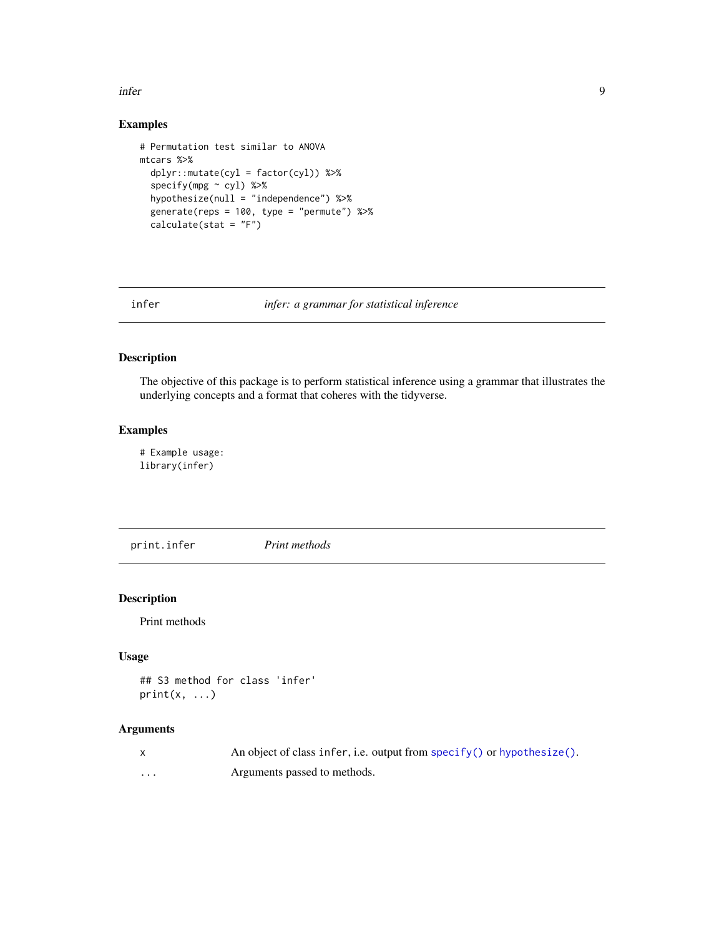<span id="page-8-0"></span>infer 9

# Examples

```
# Permutation test similar to ANOVA
mtcars %>%
  dplyr::mutate(cyl = factor(cyl)) %>%
  specify(mpg ~ cyl) %>%
  hypothesize(null = "independence") %>%
  generate(reps = 100, type = "permute") %>%
  calculate(stat = "F")
```
infer *infer: a grammar for statistical inference*

# Description

The objective of this package is to perform statistical inference using a grammar that illustrates the underlying concepts and a format that coheres with the tidyverse.

# Examples

# Example usage: library(infer)

print.infer *Print methods*

Description

Print methods

# Usage

```
## S3 method for class 'infer'
print(x, ...)
```

|                         | An object of class infer, i.e. output from $\text{specify}()$ or hypothesize(). |
|-------------------------|---------------------------------------------------------------------------------|
| $\cdot$ $\cdot$ $\cdot$ | Arguments passed to methods.                                                    |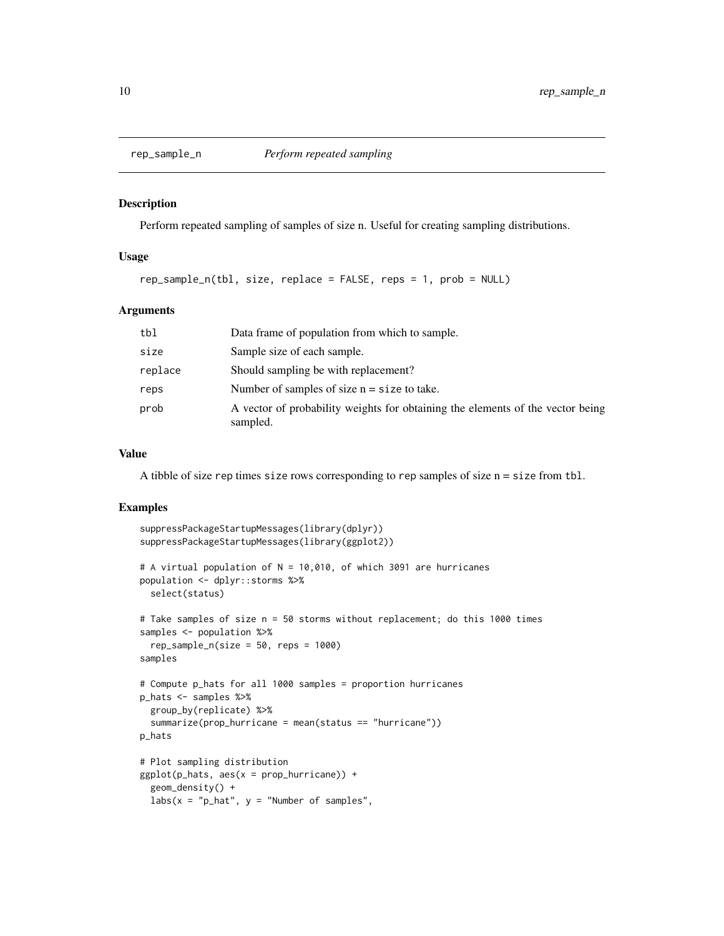<span id="page-9-0"></span>

#### Description

Perform repeated sampling of samples of size n. Useful for creating sampling distributions.

#### Usage

rep\_sample\_n(tbl, size, replace = FALSE, reps = 1, prob = NULL)

# Arguments

| tbl     | Data frame of population from which to sample.                                             |
|---------|--------------------------------------------------------------------------------------------|
| size    | Sample size of each sample.                                                                |
| replace | Should sampling be with replacement?                                                       |
| reps    | Number of samples of size $n = size$ to take.                                              |
| prob    | A vector of probability weights for obtaining the elements of the vector being<br>sampled. |

# Value

A tibble of size rep times size rows corresponding to rep samples of size  $n = size$  from tbl.

```
suppressPackageStartupMessages(library(dplyr))
suppressPackageStartupMessages(library(ggplot2))
# A virtual population of N = 10,010, of which 3091 are hurricanes
population <- dplyr::storms %>%
 select(status)
# Take samples of size n = 50 storms without replacement; do this 1000 times
samples <- population %>%
 rep\_sample_n(size = 50, reps = 1000)samples
# Compute p_hats for all 1000 samples = proportion hurricanes
p_hats <- samples %>%
 group_by(replicate) %>%
 summarize(prop_hurricane = mean(status == "hurricane"))
p_hats
# Plot sampling distribution
ggplot(p_{\text{hats}}, \text{aes}(x = prop_{\text{huristic}})) +geom_density() +
 labs(x = "p_hat", y = "Number of samples",
```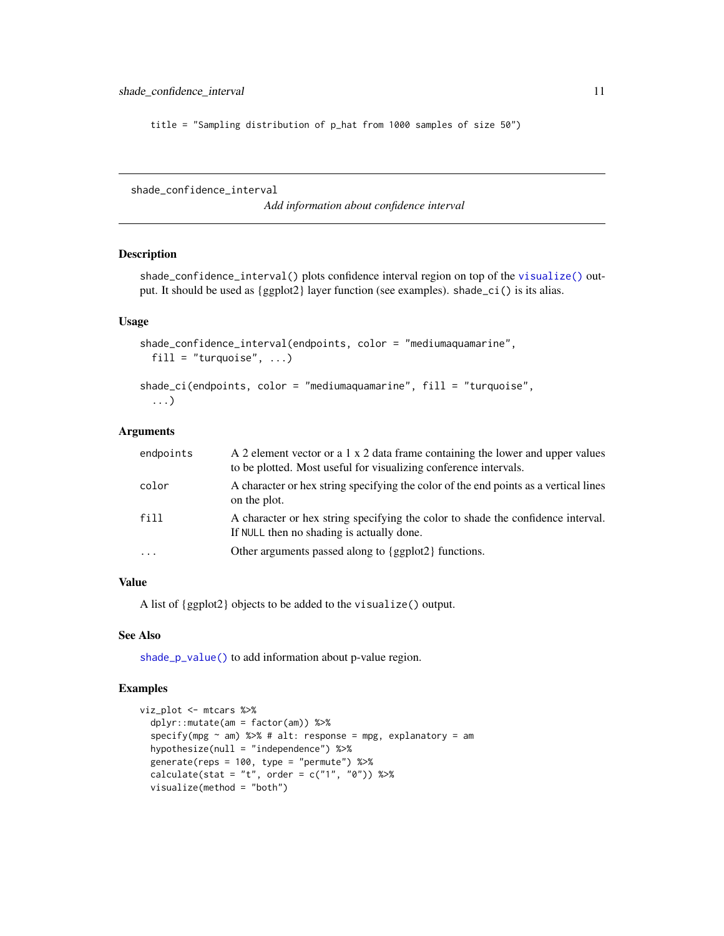<span id="page-10-0"></span>title = "Sampling distribution of p\_hat from 1000 samples of size 50")

<span id="page-10-1"></span>shade\_confidence\_interval

*Add information about confidence interval*

# Description

shade\_confidence\_interval() plots confidence interval region on top of the [visualize\(\)](#page-14-1) output. It should be used as {ggplot2} layer function (see examples). shade\_ci() is its alias.

#### Usage

```
shade_confidence_interval(endpoints, color = "mediumaquamarine",
 fill = "turquoise", ...)
```

```
shade_ci(endpoints, color = "mediumaquamarine", fill = "turquoise",
  ...)
```
#### Arguments

| endpoints  | A 2 element vector or a 1 x 2 data frame containing the lower and upper values<br>to be plotted. Most useful for visualizing conference intervals. |
|------------|----------------------------------------------------------------------------------------------------------------------------------------------------|
| color      | A character or hex string specifying the color of the end points as a vertical lines<br>on the plot.                                               |
| fill       | A character or hex string specifying the color to shade the confidence interval.<br>If NULL then no shading is actually done.                      |
| $\ddots$ . | Other arguments passed along to {ggplot2} functions.                                                                                               |

# Value

A list of {ggplot2} objects to be added to the visualize() output.

#### See Also

[shade\\_p\\_value\(\)](#page-11-1) to add information about p-value region.

```
viz_plot <- mtcars %>%
 dplyr::mutate(am = factor(am)) %>%
 specify(mpg \sim am) %>% # alt: response = mpg, explanatory = am
 hypothesize(null = "independence") %>%
 generate(reps = 100, type = "permute") %>%
 calculate(stat = "t", order = c("1", "0")) %>%
 visualize(method = "both")
```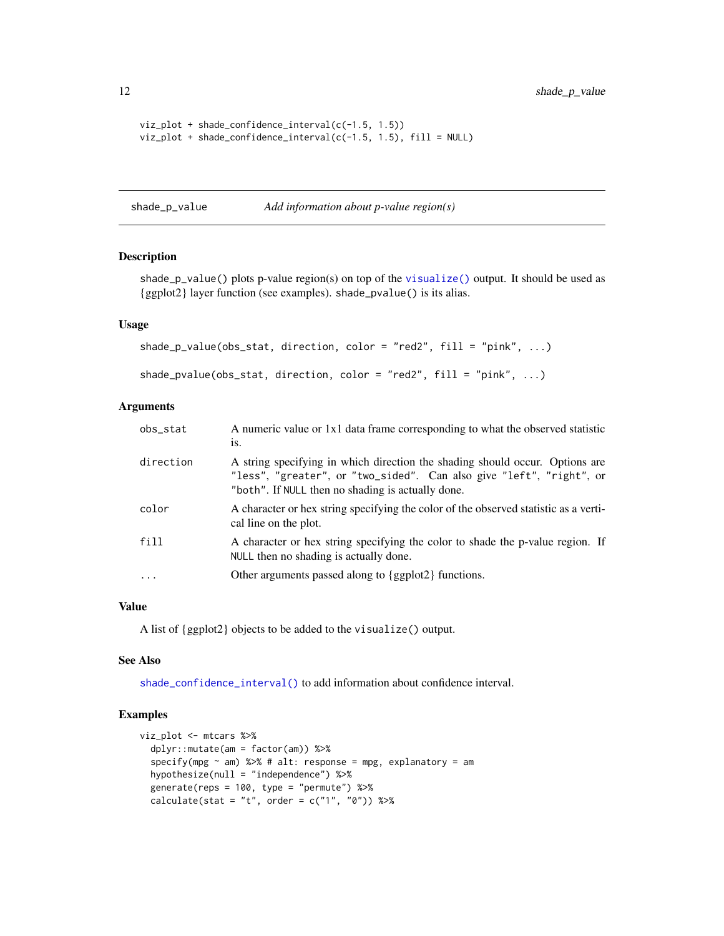```
viz_plot + shade_confidence_interval(c(-1.5, 1.5))
viz_plot + shade_confidence_interval(c(-1.5, 1.5), fill = NULL)
```
<span id="page-11-1"></span>shade\_p\_value *Add information about p-value region(s)*

#### Description

shade\_p\_value() plots p-value region(s) on top of the [visualize\(\)](#page-14-1) output. It should be used as {ggplot2} layer function (see examples). shade\_pvalue() is its alias.

#### Usage

```
shade_p_value(obs_stat, direction, color = "red2", fill = "pink", ...)
shade_pvalue(obs_stat, direction, color = "red2", fill = "pink", ...)
```
#### Arguments

| obs_stat  | A numeric value or 1x1 data frame corresponding to what the observed statistic<br>1S.                                                                                                                     |
|-----------|-----------------------------------------------------------------------------------------------------------------------------------------------------------------------------------------------------------|
| direction | A string specifying in which direction the shading should occur. Options are<br>"less", "greater", or "two_sided". Can also give "left", "right", or<br>"both". If NULL then no shading is actually done. |
| color     | A character or hex string specifying the color of the observed statistic as a verti-<br>cal line on the plot.                                                                                             |
| fill      | A character or hex string specifying the color to shade the p-value region. If<br>NULL then no shading is actually done.                                                                                  |
| .         | Other arguments passed along to {ggplot2} functions.                                                                                                                                                      |
|           |                                                                                                                                                                                                           |

### Value

A list of {ggplot2} objects to be added to the visualize() output.

#### See Also

[shade\\_confidence\\_interval\(\)](#page-10-1) to add information about confidence interval.

```
viz_plot <- mtcars %>%
  dplyr::mutate(am = factor(am)) %>%
  specify(mpg \sim am) %>% # alt: response = mpg, explanatory = am
  hypothesize(null = "independence") %>%
  generate(reps = 100, type = "permute") %>%
  calculate(stat = "t", order = c("1", "0")) %>%
```
<span id="page-11-0"></span>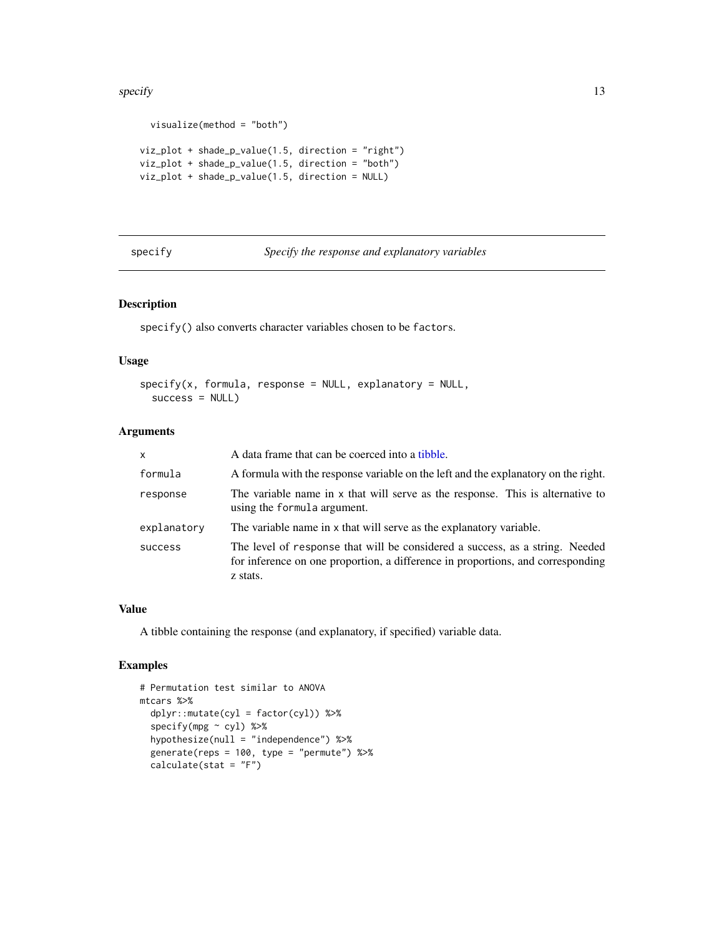#### <span id="page-12-0"></span>specify the state of the state of the state of the state of the state of the state of the state of the state of the state of the state of the state of the state of the state of the state of the state of the state of the st

```
visualize(method = "both")
viz_plot + shade_p_value(1.5, direction = "right")
viz_plot + shade_p_value(1.5, direction = "both")
viz_plot + shade_p_value(1.5, direction = NULL)
```
<span id="page-12-1"></span>specify *Specify the response and explanatory variables*

# Description

specify() also converts character variables chosen to be factors.

#### Usage

specify(x, formula, response = NULL, explanatory = NULL, success = NULL)

# Arguments

| $\mathsf{x}$ | A data frame that can be coerced into a tibble.                                                                                                                             |
|--------------|-----------------------------------------------------------------------------------------------------------------------------------------------------------------------------|
| formula      | A formula with the response variable on the left and the explanatory on the right.                                                                                          |
| response     | The variable name in x that will serve as the response. This is alternative to<br>using the formula argument.                                                               |
| explanatory  | The variable name in x that will serve as the explanatory variable.                                                                                                         |
| success      | The level of response that will be considered a success, as a string. Needed<br>for inference on one proportion, a difference in proportions, and corresponding<br>z stats. |

#### Value

A tibble containing the response (and explanatory, if specified) variable data.

```
# Permutation test similar to ANOVA
mtcars %>%
  dplyr::mutate(cyl = factor(cyl)) %>%
  specify(mpg \sim cyl) %>%
  hypothesize(null = "independence") %>%
  generate(reps = 100, type = "permute") %>%
  calculate(stat = "F")
```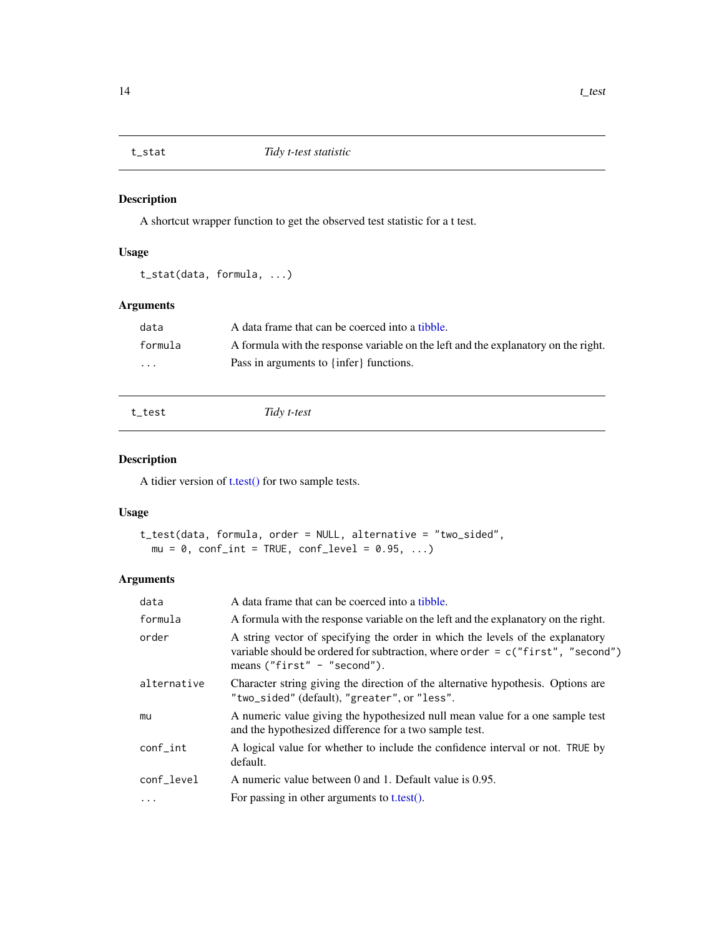<span id="page-13-0"></span>

# Description

A shortcut wrapper function to get the observed test statistic for a t test.

# Usage

t\_stat(data, formula, ...)

# Arguments

| data     | A data frame that can be coerced into a tibble.                                    |
|----------|------------------------------------------------------------------------------------|
| formula  | A formula with the response variable on the left and the explanatory on the right. |
| $\cdots$ | Pass in arguments to {infer} functions.                                            |

| t_test | Tidy t-test |  |
|--------|-------------|--|
|        |             |  |

# Description

A tidier version of [t.test\(\)](#page-0-0) for two sample tests.

# Usage

```
t_test(data, formula, order = NULL, alternative = "two_sided",
 \bar{m}u = 0, conf_int = TRUE, conf_level = 0.95, ...)
```

| data        | A data frame that can be coerced into a tibble.                                                                                                                                                   |
|-------------|---------------------------------------------------------------------------------------------------------------------------------------------------------------------------------------------------|
| formula     | A formula with the response variable on the left and the explanatory on the right.                                                                                                                |
| order       | A string vector of specifying the order in which the levels of the explanatory<br>variable should be ordered for subtraction, where order $= c("first", "second")$<br>means ("first" - "second"). |
| alternative | Character string giving the direction of the alternative hypothesis. Options are<br>"two_sided" (default), "greater", or "less".                                                                  |
| mu          | A numeric value giving the hypothesized null mean value for a one sample test<br>and the hypothesized difference for a two sample test.                                                           |
| $conf_$     | A logical value for whether to include the confidence interval or not. TRUE by<br>default.                                                                                                        |
| conf_level  | A numeric value between 0 and 1. Default value is 0.95.                                                                                                                                           |
| .           | For passing in other arguments to t.test().                                                                                                                                                       |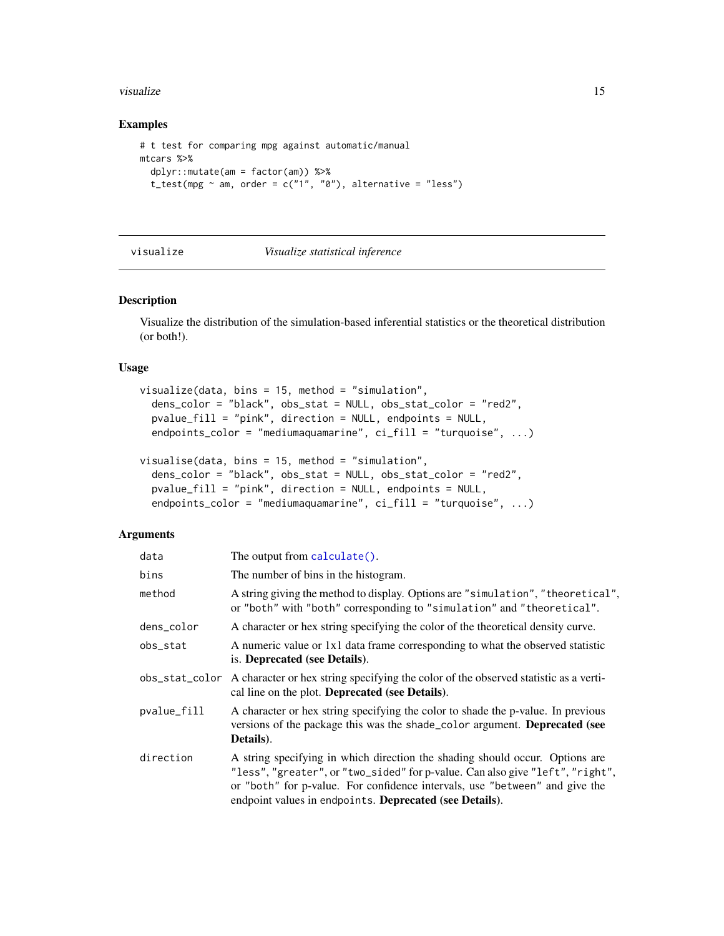#### <span id="page-14-0"></span>visualize the contract of the contract of the contract of the contract of the contract of the contract of the contract of the contract of the contract of the contract of the contract of the contract of the contract of the

#### Examples

```
# t test for comparing mpg against automatic/manual
mtcars %>%
  dplyr::mutate(am = factor(am)) %>%
  t_test(mpg \sim am, order = c("1", "0"), alternative = "less")
```
#### visualize *Visualize statistical inference*

# Description

Visualize the distribution of the simulation-based inferential statistics or the theoretical distribution (or both!).

#### Usage

```
visualize(data, bins = 15, method = "simulation",
  dens_color = "black", obs_stat = NULL, obs_stat_color = "red2",
  pvalue_fill = "pink", direction = NULL, endpoints = NULL,
  endpoints_color = "mediumaquamarine", ci_fill = "turquoise", ...)visualise(data, bins = 15, method = "simulation",
  dens_color = "black", obs_stat = NULL, obs_stat_color = "red2",
 pvalue_fill = "pink", direction = NULL, endpoints = NULL,
  endpoints_color = "mediumaquamarine", ci_fill = "turquoise", ...)
```

| data        | The output from calculate().                                                                                                                                                                                                                                                                            |
|-------------|---------------------------------------------------------------------------------------------------------------------------------------------------------------------------------------------------------------------------------------------------------------------------------------------------------|
| bins        | The number of bins in the histogram.                                                                                                                                                                                                                                                                    |
| method      | A string giving the method to display. Options are "simulation", "theoretical",<br>or "both" with "both" corresponding to "simulation" and "theoretical".                                                                                                                                               |
| dens color  | A character or hex string specifying the color of the theoretical density curve.                                                                                                                                                                                                                        |
| obs_stat    | A numeric value or 1x1 data frame corresponding to what the observed statistic<br>is. Deprecated (see Details).                                                                                                                                                                                         |
|             | obs_stat_color A character or hex string specifying the color of the observed statistic as a verti-<br>cal line on the plot. Deprecated (see Details).                                                                                                                                                  |
| pvalue_fill | A character or hex string specifying the color to shade the p-value. In previous<br>versions of the package this was the shade_color argument. <b>Deprecated</b> (see<br>Details).                                                                                                                      |
| direction   | A string specifying in which direction the shading should occur. Options are<br>"less", "greater", or "two_sided" for p-value. Can also give "left", "right",<br>or "both" for p-value. For confidence intervals, use "between" and give the<br>endpoint values in endpoints. Deprecated (see Details). |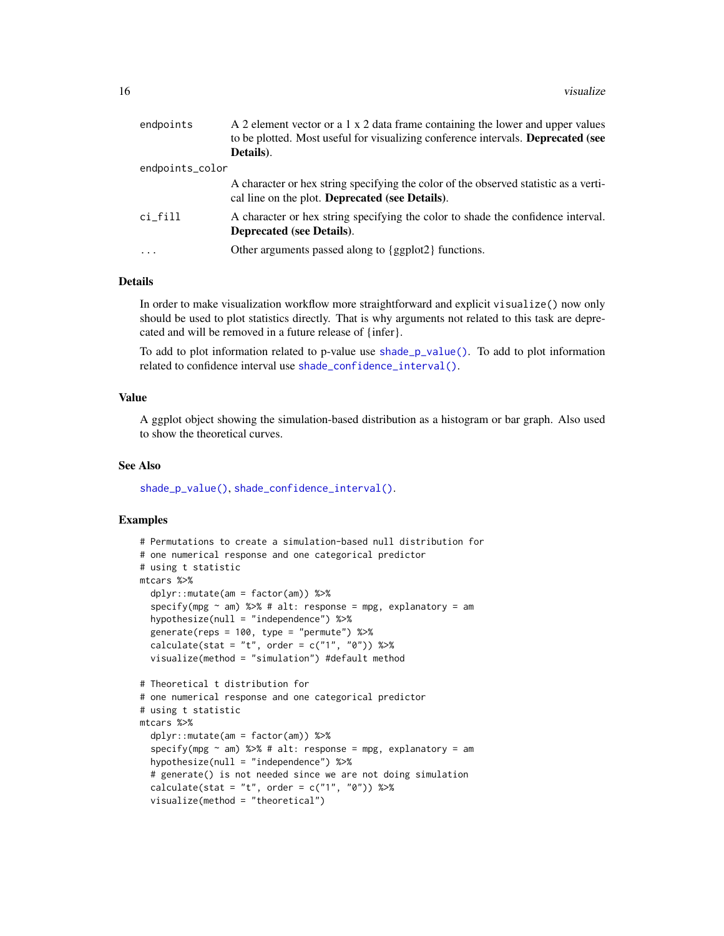<span id="page-15-0"></span>

| endpoints       | A 2 element vector or a 1 x 2 data frame containing the lower and upper values<br>to be plotted. Most useful for visualizing conference intervals. Deprecated (see<br>Details). |
|-----------------|---------------------------------------------------------------------------------------------------------------------------------------------------------------------------------|
| endpoints_color |                                                                                                                                                                                 |
|                 | A character or hex string specifying the color of the observed statistic as a verti-<br>cal line on the plot. Deprecated (see Details).                                         |
| ci fill         | A character or hex string specifying the color to shade the confidence interval.<br><b>Deprecated (see Details).</b>                                                            |
| .               | Other arguments passed along to {ggplot2} functions.                                                                                                                            |

# Details

In order to make visualization workflow more straightforward and explicit visualize() now only should be used to plot statistics directly. That is why arguments not related to this task are deprecated and will be removed in a future release of {infer}.

To add to plot information related to p-value use [shade\\_p\\_value\(\)](#page-11-1). To add to plot information related to confidence interval use [shade\\_confidence\\_interval\(\)](#page-10-1).

# Value

A ggplot object showing the simulation-based distribution as a histogram or bar graph. Also used to show the theoretical curves.

#### See Also

[shade\\_p\\_value\(\)](#page-11-1), [shade\\_confidence\\_interval\(\)](#page-10-1).

```
# Permutations to create a simulation-based null distribution for
# one numerical response and one categorical predictor
# using t statistic
mtcars %>%
  dplyr::mutate(am = factor(am)) %>%
  specify(mpg \sim am) %>% # alt: response = mpg, explanatory = am
  hypothesize(null = "independence") %>%
  generate(reps = 100, type = "permute") %>%
  calculate(stat = "t", order = c("1", "0")) %>%
  visualize(method = "simulation") #default method
# Theoretical t distribution for
# one numerical response and one categorical predictor
# using t statistic
mtcars %>%
  dplyr::mutate(am = factor(am)) %>%
  specify(mpg \sim am) %>% # alt: response = mpg, explanatory = am
  hypothesize(null = "independence") %>%
  # generate() is not needed since we are not doing simulation
  calculate(stat = "t", order = c("1", "0")) %>%
  visualize(method = "theoretical")
```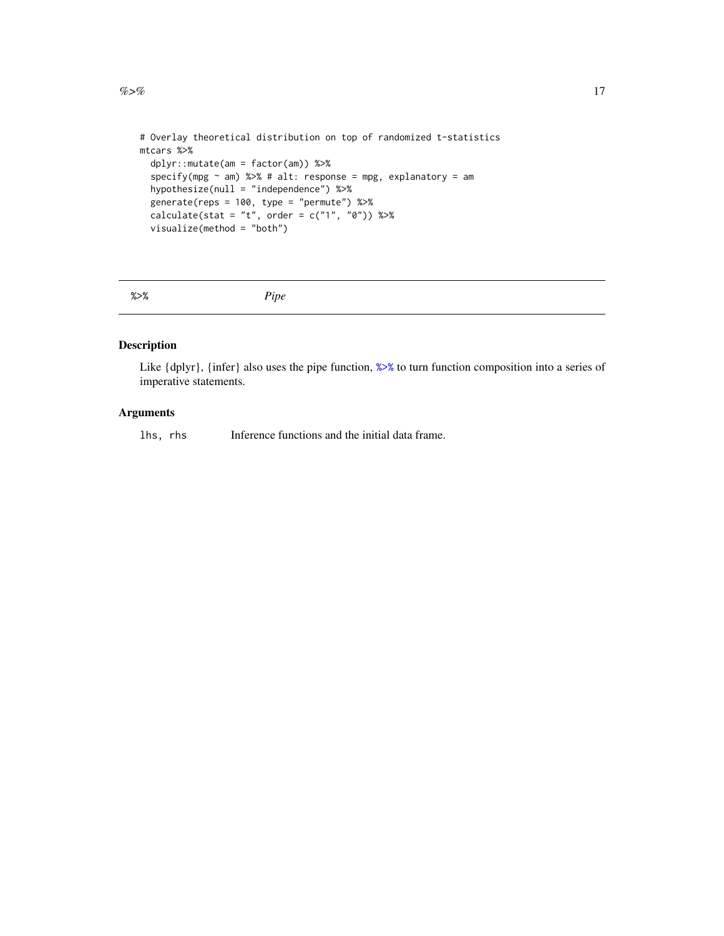```
# Overlay theoretical distribution on top of randomized t-statistics
mtcars %>%
  dplyr::mutate(am = factor(am)) %>%
  specify(mpg \sim am) %>% # alt: response = mpg, explanatory = am
  hypothesize(null = "independence") %>%
  generate(reps = 100, type = "permute") %>%
  calculate(stat = "t", order = c("1", "0")) %>%
  visualize(method = "both")
```
<span id="page-16-1"></span>%>% *Pipe*

# Description

Like {dplyr}, {infer} also uses the pipe function, [%>%](#page-16-1) to turn function composition into a series of imperative statements.

# Arguments

lhs, rhs Inference functions and the initial data frame.

#### <span id="page-16-0"></span> $\%$  >% 17